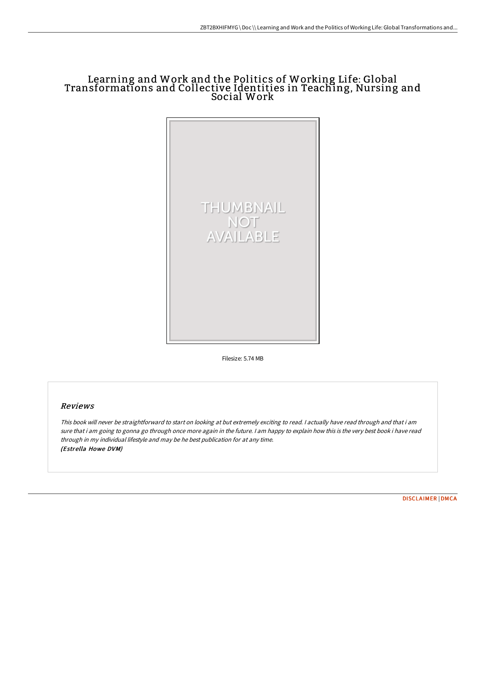# Learning and Work and the Politics of Working Life: Global Transformations and Collective Identities in Teaching, Nursing and Social Work



Filesize: 5.74 MB

#### Reviews

This book will never be straightforward to start on looking at but extremely exciting to read. <sup>I</sup> actually have read through and that i am sure that i am going to gonna go through once more again in the future. <sup>I</sup> am happy to explain how this is the very best book i have read through in my individual lifestyle and may be he best publication for at any time. (Estrella Howe DVM)

[DISCLAIMER](http://www.bookdirs.com/disclaimer.html) | [DMCA](http://www.bookdirs.com/dmca.html)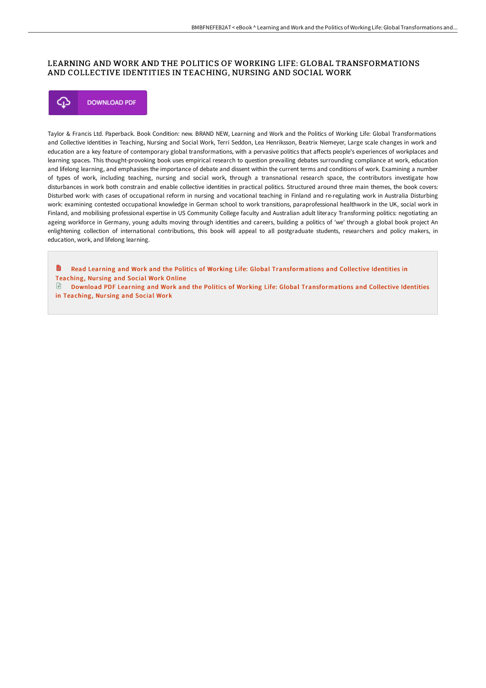## LEARNING AND WORK AND THE POLITICS OF WORKING LIFE: GLOBAL TRANSFORMATIONS AND COLLECTIVE IDENTITIES IN TEACHING, NURSING AND SOCIAL WORK



Taylor & Francis Ltd. Paperback. Book Condition: new. BRAND NEW, Learning and Work and the Politics of Working Life: Global Transformations and Collective Identities in Teaching, Nursing and Social Work, Terri Seddon, Lea Henriksson, Beatrix Niemeyer, Large scale changes in work and education are a key feature of contemporary global transformations, with a pervasive politics that affects people's experiences of workplaces and learning spaces. This thought-provoking book uses empirical research to question prevailing debates surrounding compliance at work, education and lifelong learning, and emphasises the importance of debate and dissent within the current terms and conditions of work. Examining a number of types of work, including teaching, nursing and social work, through a transnational research space, the contributors investigate how disturbances in work both constrain and enable collective identities in practical politics. Structured around three main themes, the book covers: Disturbed work: with cases of occupational reform in nursing and vocational teaching in Finland and re-regulating work in Australia Disturbing work: examining contested occupational knowledge in German school to work transitions, paraprofessional healthwork in the UK, social work in Finland, and mobilising professional expertise in US Community College faculty and Australian adult literacy Transforming politics: negotiating an ageing workforce in Germany, young adults moving through identities and careers, building a politics of 'we' through a global book project An enlightening collection of international contributions, this book will appeal to all postgraduate students, researchers and policy makers, in education, work, and lifelong learning.

h Read Learning and Work and the Politics of Working Life: Global [Transformations](http://www.bookdirs.com/learning-and-work-and-the-politics-of-working-li.html) and Collective Identities in Teaching, Nur sing and Social Work Online

Download PDF Learning and Work and the Politics of Working Life: Global [Transformations](http://www.bookdirs.com/learning-and-work-and-the-politics-of-working-li.html) and Collective Identities in Teaching, Nursing and Social Work